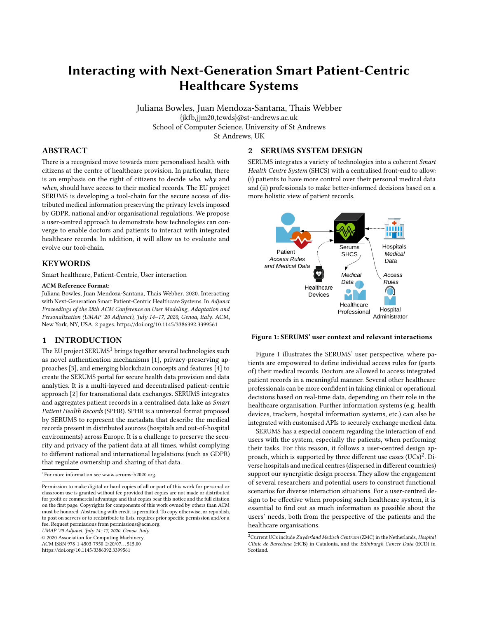# Interacting with Next-Generation Smart Patient-Centric Healthcare Systems

Juliana Bowles, Juan Mendoza-Santana, Thais Webber {jkfb,jjm20,tcwds}@st-andrews.ac.uk School of Computer Science, University of St Andrews St Andrews, UK

# ABSTRACT

There is a recognised move towards more personalised health with citizens at the centre of healthcare provision. In particular, there is an emphasis on the right of citizens to decide who, why and when, should have access to their medical records. The EU project SERUMS is developing a tool-chain for the secure access of distributed medical information preserving the privacy levels imposed by GDPR, national and/or organisational regulations. We propose a user-centred approach to demonstrate how technologies can converge to enable doctors and patients to interact with integrated healthcare records. In addition, it will allow us to evaluate and evolve our tool-chain.

#### KEYWORDS

Smart healthcare, Patient-Centric, User interaction

#### ACM Reference Format:

Juliana Bowles, Juan Mendoza-Santana, Thais Webber. 2020. Interacting with Next-Generation Smart Patient-Centric Healthcare Systems. In Adjunct Proceedings of the 28th ACM Conference on User Modeling, Adaptation and Personalization (UMAP '20 Adjunct), July 14-17, 2020, Genoa, Italy. ACM, New York, NY, USA, [2](#page-1-0) pages.<https://doi.org/10.1145/3386392.3399561>

# 1 INTRODUCTION

The EU project SERUMS<sup>[1](#page-0-0)</sup> brings together several technologies such as novel authentication mechanisms [\[1\]](#page-1-1), privacy-preserving approaches [\[3\]](#page-1-2), and emerging blockchain concepts and features [\[4\]](#page-1-3) to create the SERUMS portal for secure health data provision and data analytics. It is a multi-layered and decentralised patient-centric approach [\[2\]](#page-1-4) for transnational data exchanges. SERUMS integrates and aggregates patient records in a centralised data lake as Smart Patient Health Records (SPHR). SPHR is a universal format proposed by SERUMS to represent the metadata that describe the medical records present in distributed sources (hospitals and out-of-hospital environments) across Europe. It is a challenge to preserve the security and privacy of the patient data at all times, whilst complying to different national and international legislations (such as GDPR) that regulate ownership and sharing of that data.

UMAP '20 Adjunct, July 14–17, 2020, Genoa, Italy

© 2020 Association for Computing Machinery.

ACM ISBN 978-1-4503-7950-2/20/07. . . \$15.00

<https://doi.org/10.1145/3386392.3399561>

# 2 SERUMS SYSTEM DESIGN

SERUMS integrates a variety of technologies into a coherent Smart Health Centre System (SHCS) with a centralised front-end to allow: (i) patients to have more control over their personal medical data and (ii) professionals to make better-informed decisions based on a more holistic view of patient records.

<span id="page-0-1"></span>

#### Figure 1: SERUMS' user context and relevant interactions

Figure [1](#page-0-1) illustrates the SERUMS' user perspective, where patients are empowered to define individual access rules for (parts of) their medical records. Doctors are allowed to access integrated patient records in a meaningful manner. Several other healthcare professionals can be more confident in taking clinical or operational decisions based on real-time data, depending on their role in the healthcare organisation. Further information systems (e.g. health devices, trackers, hospital information systems, etc.) can also be integrated with customised APIs to securely exchange medical data.

SERUMS has a especial concern regarding the interaction of end users with the system, especially the patients, when performing their tasks. For this reason, it follows a user-centred design approach, which is supported by three different use cases  $(UCs)^2$  $(UCs)^2$ . Diverse hospitals and medical centres (dispersed in different countries) support our synergistic design process. They allow the engagement of several researchers and potential users to construct functional scenarios for diverse interaction situations. For a user-centred design to be effective when proposing such healthcare system, it is essential to find out as much information as possible about the users' needs, both from the perspective of the patients and the healthcare organisations.

<span id="page-0-0"></span><sup>1</sup> For more information see [www.serums-h2020.org.](www.serums-h2020.org)

Permission to make digital or hard copies of all or part of this work for personal or classroom use is granted without fee provided that copies are not made or distributed for profit or commercial advantage and that copies bear this notice and the full citation on the first page. Copyrights for components of this work owned by others than ACM must be honored. Abstracting with credit is permitted. To copy otherwise, or republish, to post on servers or to redistribute to lists, requires prior specific permission and/or a fee. Request permissions from permissions@acm.org.

<span id="page-0-2"></span> $2$ Current UCs include Zuyderland Medisch Centrum (ZMC) in the Netherlands, Hospital Clinic de Barcelona (HCB) in Catalonia, and the Edinburgh Cancer Data (ECD) in Scotland.